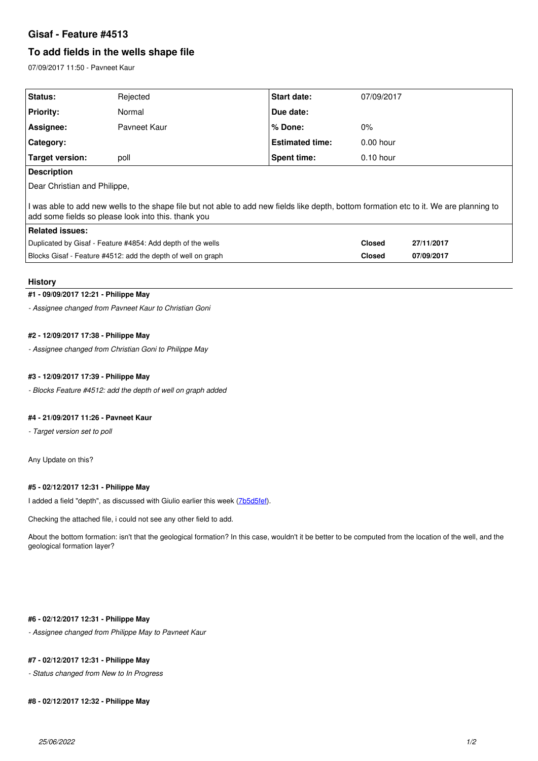## **Gisaf - Feature #4513**

# **To add fields in the wells shape file**

07/09/2017 11:50 - Pavneet Kaur

| Rejected                                                                                                                                                                                       | Start date:            | 07/09/2017    |            |
|------------------------------------------------------------------------------------------------------------------------------------------------------------------------------------------------|------------------------|---------------|------------|
| Normal                                                                                                                                                                                         | Due date:              |               |            |
| Payneet Kaur                                                                                                                                                                                   | % Done:                | $0\%$         |            |
|                                                                                                                                                                                                | <b>Estimated time:</b> | $0.00$ hour   |            |
| poll                                                                                                                                                                                           | Spent time:            | $0.10$ hour   |            |
| <b>Description</b>                                                                                                                                                                             |                        |               |            |
| Dear Christian and Philippe,                                                                                                                                                                   |                        |               |            |
| I was able to add new wells to the shape file but not able to add new fields like depth, bottom formation etc to it. We are planning to<br>add some fields so please look into this. thank you |                        |               |            |
| <b>Related issues:</b>                                                                                                                                                                         |                        |               |            |
| Duplicated by Gisaf - Feature #4854: Add depth of the wells                                                                                                                                    |                        | <b>Closed</b> | 27/11/2017 |
| Blocks Gisaf - Feature #4512: add the depth of well on graph                                                                                                                                   |                        | <b>Closed</b> | 07/09/2017 |
|                                                                                                                                                                                                |                        |               |            |

#### **History**

### **#1 - 09/09/2017 12:21 - Philippe May**

*- Assignee changed from Pavneet Kaur to Christian Goni*

## **#2 - 12/09/2017 17:38 - Philippe May**

*- Assignee changed from Christian Goni to Philippe May*

#### **#3 - 12/09/2017 17:39 - Philippe May**

*- Blocks Feature #4512: add the depth of well on graph added*

#### **#4 - 21/09/2017 11:26 - Pavneet Kaur**

*- Target version set to poll*

Any Update on this?

#### **#5 - 02/12/2017 12:31 - Philippe May**

I added a field "depth", as discussed with Giulio earlier this week [\(7b5d5fef](https://redmine.auroville.org.in/projects/gisaf/repository/revisions/7b5d5fef6c8ec0febd99f2dc1e15d9f94c1db134)).

Checking the attached file, i could not see any other field to add.

About the bottom formation: isn't that the geological formation? In this case, wouldn't it be better to be computed from the location of the well, and the geological formation layer?

## **#6 - 02/12/2017 12:31 - Philippe May**

*- Assignee changed from Philippe May to Pavneet Kaur*

## **#7 - 02/12/2017 12:31 - Philippe May**

*- Status changed from New to In Progress*

#### **#8 - 02/12/2017 12:32 - Philippe May**